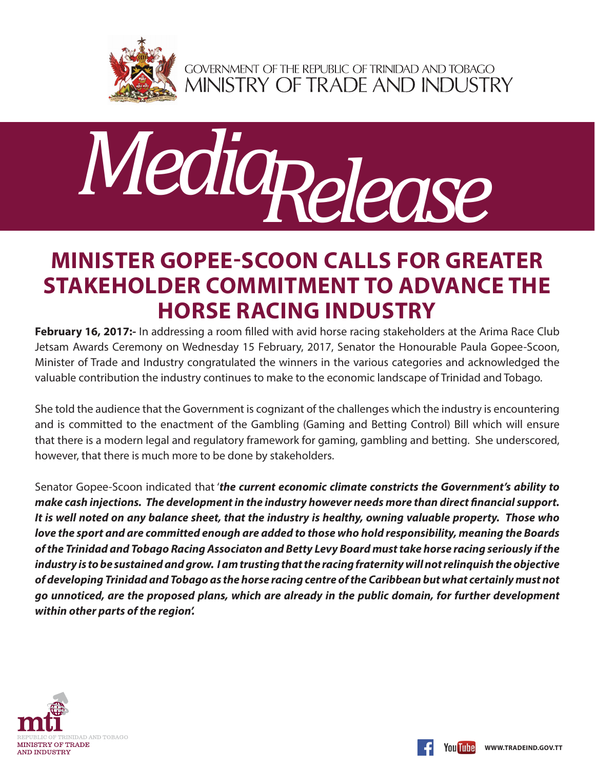

GOVERNMENT OF THE REPUBLIC OF TRINIDAD AND TOBAGO<br>MINISTRY OF TRADE AND INDUSTRY



## **MINISTER GOPEE-SCOON CALLS FOR GREATER STAKEHOLDER COMMITMENT TO ADVANCE THE HORSE RACING INDUSTRY**

**February 16, 2017:-** In addressing a room filled with avid horse racing stakeholders at the Arima Race Club Jetsam Awards Ceremony on Wednesday 15 February, 2017, Senator the Honourable Paula Gopee-Scoon, Minister of Trade and Industry congratulated the winners in the various categories and acknowledged the valuable contribution the industry continues to make to the economic landscape of Trinidad and Tobago.

She told the audience that the Government is cognizant of the challenges which the industry is encountering and is committed to the enactment of the Gambling (Gaming and Betting Control) Bill which will ensure that there is a modern legal and regulatory framework for gaming, gambling and betting. She underscored, however, that there is much more to be done by stakeholders.

Senator Gopee-Scoon indicated that '*the current economic climate constricts the Government's ability to make cash injections. The development in the industry however needs more than direct financial support. It is well noted on any balance sheet, that the industry is healthy, owning valuable property. Those who love the sport and are committed enough are added to those who hold responsibility, meaning the Boards of the Trinidad and Tobago Racing Associaton and Betty Levy Board must take horse racing seriously if the industry is to be sustained and grow. I am trusting that the racing fraternity will not relinquish the objective of developing Trinidad and Tobago as the horse racing centre of the Caribbean but what certainly must not go unnoticed, are the proposed plans, which are already in the public domain, for further development within other parts of the region'.*